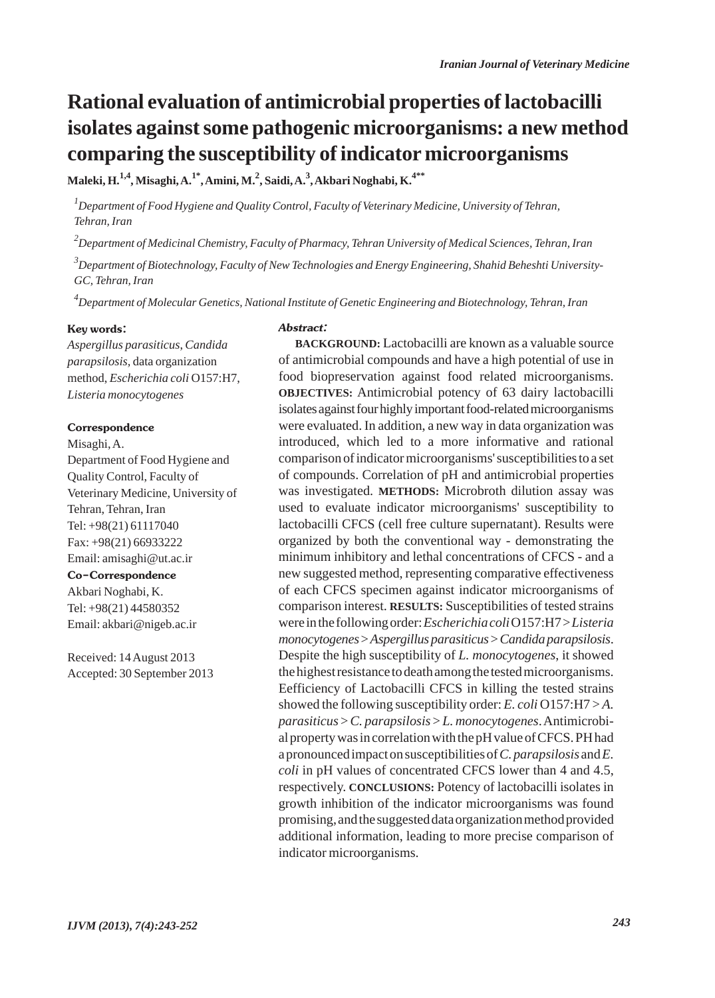# **Rational evaluation of antimicrobial properties of lactobacilli isolates against some pathogenic microorganisms: a new method comparing the susceptibility of indicator microorganisms**

**Maleki, H.1,4, Misaghi, A.1\*, Amini, M.2 , Saidi, A.<sup>3</sup> , Akbari Noghabi, K.4\*\***

*1 Department of Food Hygiene and Quality Control, Faculty of Veterinary Medicine, University of Tehran, Tehran, Iran*

*2 Department of Medicinal Chemistry, Faculty of Pharmacy, Tehran University of Medical Sciences, Tehran, Iran*

*3 Department of Biotechnology, Faculty of New Technologies and Energy Engineering, Shahid Beheshti University-GC, Tehran, Iran*

*4 Department of Molecular Genetics, National Institute of Genetic Engineering and Biotechnology, Tehran, Iran*

#### Key words:

*Aspergillus parasiticus*, *Candida parapsilosis,* data organization method, *Escherichia coli* O157:H7, *Listeria monocytogenes*

#### Correspondence

Misaghi, A. Department of Food Hygiene and Quality Control, Faculty of Veterinary Medicine, University of Tehran, Tehran, Iran Tel: +98(21) 61117040 Fax: +98(21) 66933222 Email: amisaghi@ut.ac.ir Co-Correspondence Akbari Noghabi, K. Tel: +98(21) 44580352 Email: akbari@nigeb.ac.ir

Received: 14 August 2013 Accepted: 30 September 2013

#### Abstract:

**BACKGROUND:** Lactobacilli are known as a valuable source of antimicrobial compounds and have a high potential of use in food biopreservation against food related microorganisms. **OBJECTIVES:** Antimicrobial potency of 63 dairy lactobacilli isolates against four highly important food-related microorganisms were evaluated. In addition, a new way in data organization was introduced, which led to a more informative and rational comparison of indicator microorganisms' susceptibilities to a set of compounds. Correlation of pH and antimicrobial properties was investigated. **METHODS:** Microbroth dilution assay was used to evaluate indicator microorganisms' susceptibility to lactobacilli CFCS (cell free culture supernatant). Results were organized by both the conventional way - demonstrating the minimum inhibitory and lethal concentrations of CFCS - and a new suggested method, representing comparative effectiveness of each CFCS specimen against indicator microorganisms of comparison interest. **RESULTS:** Susceptibilities of tested strains were in the following order: *Escherichia coli*O157:H7 > *Listeria monocytogenes* > *Aspergillus parasiticus*> *Candida parapsilosis*. Despite the high susceptibility of *L. monocytogenes*, it showed the highest resistance to death among the tested microorganisms. Eefficiency of Lactobacilli CFCS in killing the tested strains showed the following susceptibility order: *E. coli* O157:H7 > *A. parasiticus* > *C. parapsilosis* > *L. monocytogenes*. Antimicrobial property was in correlation with the pH value of CFCS. PH had a pronounced impact on susceptibilities of *C. parapsilosis* and *E. coli* in pH values of concentrated CFCS lower than 4 and 4.5, respectively. **CONCLUSIONS:** Potency of lactobacilli isolates in growth inhibition of the indicator microorganisms was found promising, and the suggested data organization method provided additional information, leading to more precise comparison of indicator microorganisms.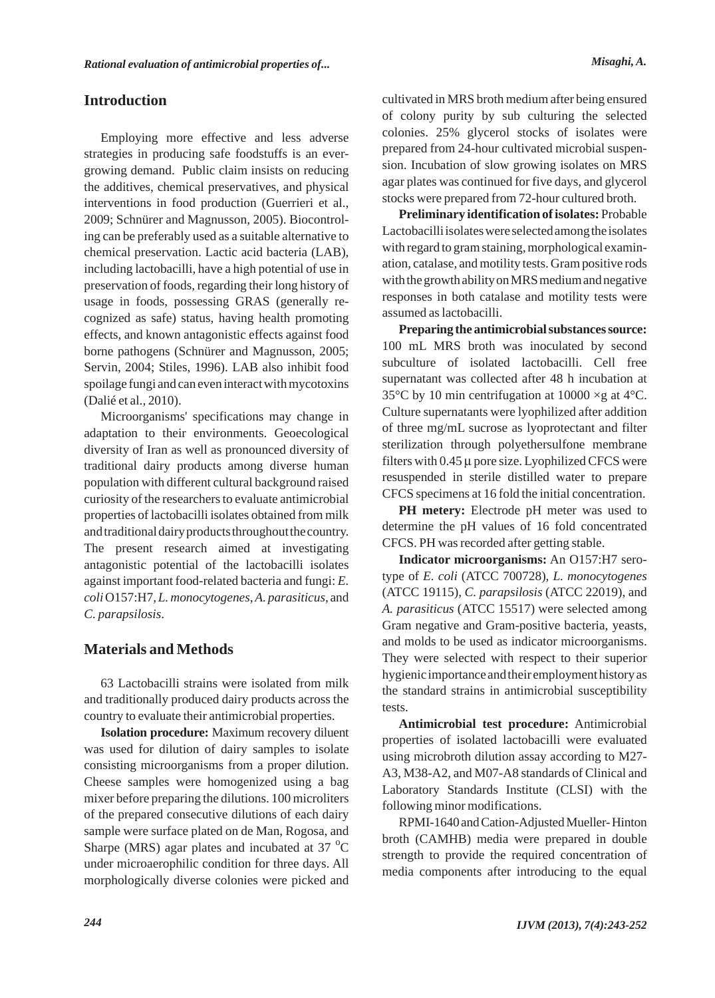## **Introduction**

Employing more effective and less adverse strategies in producing safe foodstuffs is an evergrowing demand. Public claim insists on reducing the additives, chemical preservatives, and physical interventions in food production (Guerrieri et al., 2009; Schnürer and Magnusson, 2005). Biocontroling can be preferably used as a suitable alternative to chemical preservation. Lactic acid bacteria (LAB), including lactobacilli, have a high potential of use in preservation of foods, regarding their long history of usage in foods, possessing GRAS (generally recognized as safe) status, having health promoting effects, and known antagonistic effects against food borne pathogens (Schnürer and Magnusson, 2005; Servin, 2004; Stiles, 1996). LAB also inhibit food spoilage fungi and can even interact with mycotoxins (Dalié et al., 2010).

Microorganisms' specifications may change in adaptation to their environments. Geoecological diversity of Iran as well as pronounced diversity of traditional dairy products among diverse human population with different cultural background raised curiosity of the researchers to evaluate antimicrobial properties of lactobacilli isolates obtained from milk and traditional dairy products throughout the country. The present research aimed at investigating antagonistic potential of the lactobacilli isolates against important food-related bacteria and fungi: *E. coli*O157:H7, *L. monocytogenes*, *A. parasiticus*, and *C. parapsilosis*.

# **Materials and Methods**

63 Lactobacilli strains were isolated from milk and traditionally produced dairy products across the country to evaluate their antimicrobial properties.

**Isolation procedure:** Maximum recovery diluent was used for dilution of dairy samples to isolate consisting microorganisms from a proper dilution. Cheese samples were homogenized using a bag mixer before preparing the dilutions. 100 microliters of the prepared consecutive dilutions of each dairy sample were surface plated on de Man, Rogosa, and Sharpe (MRS) agar plates and incubated at 37 $\mathrm{^{\circ}C}$ under microaerophilic condition for three days. All morphologically diverse colonies were picked and cultivated in MRS broth medium after being ensured of colony purity by sub culturing the selected colonies. 25% glycerol stocks of isolates were prepared from 24-hour cultivated microbial suspension. Incubation of slow growing isolates on MRS agar plates was continued for five days, and glycerol stocks were prepared from 72-hour cultured broth.

**Preliminary identification of isolates:** Probable Lactobacilli isolates were selected among the isolates with regard to gram staining, morphological examination, catalase, and motility tests. Gram positive rods with the growth ability on MRS medium and negative responses in both catalase and motility tests were assumed as lactobacilli.

**Preparing the antimicrobial substances source:** 100 mL MRS broth was inoculated by second subculture of isolated lactobacilli. Cell free supernatant was collected after 48 h incubation at 35 $\degree$ C by 10 min centrifugation at 10000  $\times$ g at 4 $\degree$ C. Culture supernatants were lyophilized after addition of three mg/mL sucrose as lyoprotectant and filter sterilization through polyethersulfone membrane filters with  $0.45 \mu$  pore size. Lyophilized CFCS were resuspended in sterile distilled water to prepare CFCS specimens at 16 fold the initial concentration.

**PH** metery: Electrode pH meter was used to determine the pH values of 16 fold concentrated CFCS. PH was recorded after getting stable.

**Indicator microorganisms:** An O157:H7 serotype of *E. coli* (ATCC 700728), *L. monocytogenes* (ATCC 19115), *C. parapsilosis* (ATCC 22019), and *A. parasiticus* (ATCC 15517) were selected among Gram negative and Gram-positive bacteria, yeasts, and molds to be used as indicator microorganisms. They were selected with respect to their superior hygienic importance and their employment history as the standard strains in antimicrobial susceptibility tests.

**Antimicrobial test procedure:** Antimicrobial properties of isolated lactobacilli were evaluated using microbroth dilution assay according to M27- A3, M38-A2, and M07-A8 standards of Clinical and Laboratory Standards Institute (CLSI) with the following minor modifications.

RPMI-1640 and Cation-Adjusted Mueller- Hinton broth (CAMHB) media were prepared in double strength to provide the required concentration of media components after introducing to the equal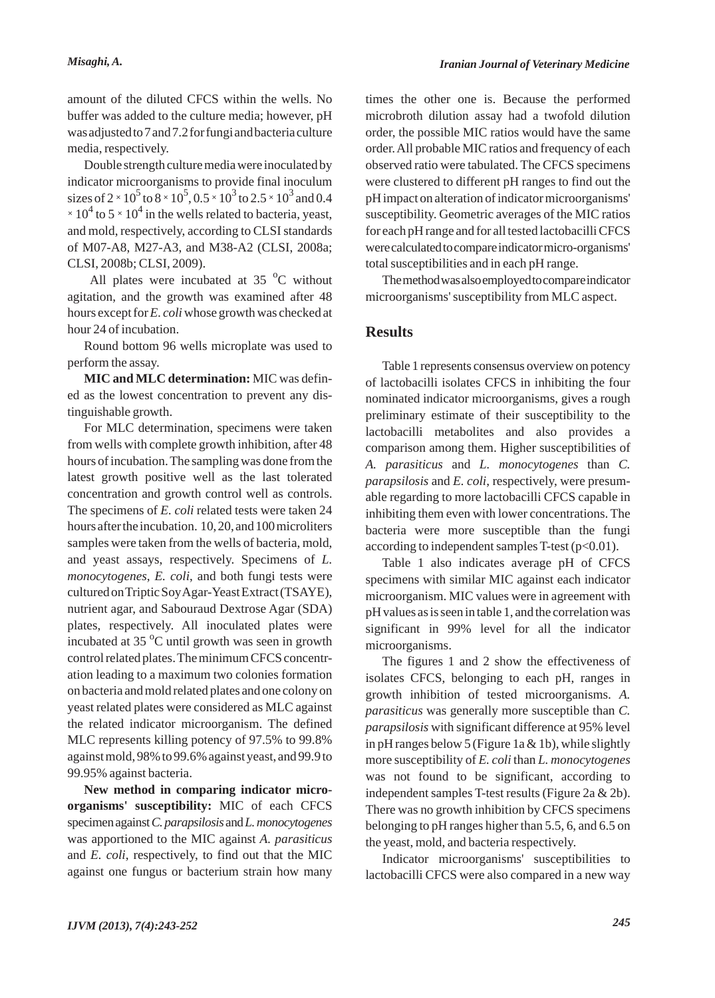amount of the diluted CFCS within the wells. No buffer was added to the culture media; however, pH was adjusted to 7 and 7.2 for fungi and bacteria culture media, respectively.

Double strength culture media were inoculated by indicator microorganisms to provide final inoculum sizes of 2  $\times$  10<sup>5</sup> to 8  $\times$  10<sup>5</sup>, 0.5  $\times$  10<sup>3</sup> to 2.5  $\times$  10<sup>3</sup> and 0.4  $\times$  10<sup>4</sup> to 5  $\times$  10<sup>4</sup> in the wells related to bacteria, yeast, and mold, respectively, according to CLSI standards of M07-A8, M27-A3, and M38-A2 (CLSI, 2008a; CLSI, 2008b; CLSI, 2009).

All plates were incubated at  $35<sup>o</sup>C$  without agitation, and the growth was examined after 48 hours except for *E. coli*whose growth was checked at hour 24 of incubation.

Round bottom 96 wells microplate was used to perform the assay.

**MIC and MLC determination:** MIC was defined as the lowest concentration to prevent any distinguishable growth.

For MLC determination, specimens were taken from wells with complete growth inhibition, after 48 hours of incubation. The sampling was done from the latest growth positive well as the last tolerated concentration and growth control well as controls. The specimens of *E. coli* related tests were taken 24 hours after the incubation. 10, 20, and 100 microliters samples were taken from the wells of bacteria, mold, and yeast assays, respectively. Specimens of *L. monocytogenes*, *E. coli*, and both fungi tests were cultured on Triptic Soy Agar-Yeast Extract (TSAYE), nutrient agar, and Sabouraud Dextrose Agar (SDA) plates, respectively. All inoculated plates were incubated at 35 $\mathrm{^{\circ}C}$  until growth was seen in growth control related plates. The minimum CFCS concentration leading to a maximum two colonies formation on bacteria and mold related plates and one colony on yeast related plates were considered as MLC against the related indicator microorganism. The defined MLC represents killing potency of 97.5% to 99.8% against mold, 98% to 99.6% against yeast, and 99.9 to 99.95% against bacteria.

**New method in comparing indicator microorganisms' susceptibility:** MIC of each CFCS specimen against *C. parapsilosis* and *L. monocytogenes* was apportioned to the MIC against *A. parasiticus* and *E. coli*, respectively, to find out that the MIC against one fungus or bacterium strain how many times the other one is. Because the performed microbroth dilution assay had a twofold dilution order, the possible MIC ratios would have the same order. All probable MIC ratios and frequency of each observed ratio were tabulated. The CFCS specimens were clustered to different pH ranges to find out the pH impact on alteration of indicator microorganisms' susceptibility. Geometric averages of the MIC ratios for each pH range and for all tested lactobacilli CFCS were calculated to compare indicator micro-organisms' total susceptibilities and in each pH range.

The method was also employed to compare indicator microorganisms' susceptibility from MLC aspect.

## **Results**

Table 1 represents consensus overview on potency of lactobacilli isolates CFCS in inhibiting the four nominated indicator microorganisms, gives a rough preliminary estimate of their susceptibility to the lactobacilli metabolites and also provides a comparison among them. Higher susceptibilities of *A. parasiticus* and *L. monocytogenes* than *C. parapsilosis* and *E. coli*, respectively, were presumable regarding to more lactobacilli CFCS capable in inhibiting them even with lower concentrations. The bacteria were more susceptible than the fungi according to independent samples T-test  $(p<0.01)$ .

Table 1 also indicates average pH of CFCS specimens with similar MIC against each indicator microorganism. MIC values were in agreement with pH values as is seen in table 1, and the correlation was significant in 99% level for all the indicator microorganisms.

The figures 1 and 2 show the effectiveness of isolates CFCS, belonging to each pH, ranges in growth inhibition of tested microorganisms. *A. parasiticus* was generally more susceptible than *C. parapsilosis* with significant difference at 95% level in pH ranges below 5 (Figure 1a  $&$  1b), while slightly more susceptibility of *E. coli* than *L. monocytogenes* was not found to be significant, according to independent samples T-test results (Figure 2a & 2b). There was no growth inhibition by CFCS specimens belonging to pH ranges higher than 5.5, 6, and 6.5 on the yeast, mold, and bacteria respectively.

Indicator microorganisms' susceptibilities to lactobacilli CFCS were also compared in a new way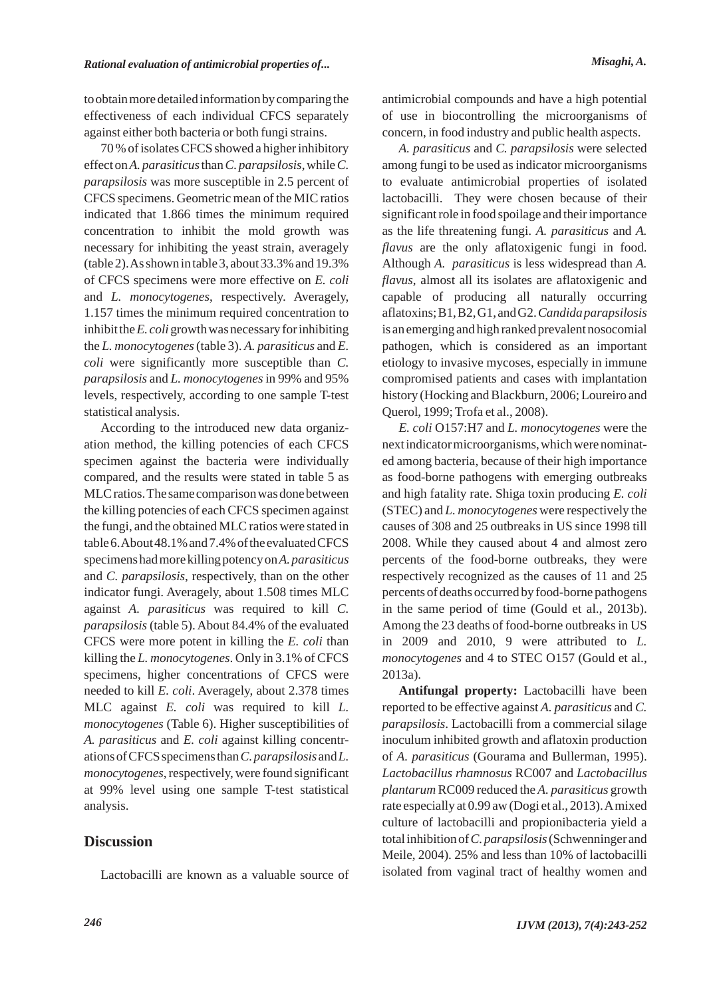to obtain more detailed information by comparing the effectiveness of each individual CFCS separately against either both bacteria or both fungi strains.

70 % of isolates CFCS showed a higher inhibitory effect on *A. parasiticus*than *C. parapsilosis*, while *C. parapsilosis* was more susceptible in 2.5 percent of CFCS specimens. Geometric mean of the MIC ratios indicated that 1.866 times the minimum required concentration to inhibit the mold growth was necessary for inhibiting the yeast strain, averagely (table 2). As shown in table 3, about 33.3% and 19.3% of CFCS specimens were more effective on *E. coli* and *L. monocytogenes*, respectively. Averagely, 1.157 times the minimum required concentration to inhibit the *E. coli* growth was necessary for inhibiting the *L. monocytogenes*(table 3). *A. parasiticus* and *E. coli* were significantly more susceptible than *C. parapsilosis* and *L. monocytogenes*in 99% and 95% levels, respectively, according to one sample T-test statistical analysis.

According to the introduced new data organization method, the killing potencies of each CFCS specimen against the bacteria were individually compared, and the results were stated in table 5 as MLC ratios. The same comparison was done between the killing potencies of each CFCS specimen against the fungi, and the obtained MLC ratios were stated in table 6. About 48.1% and 7.4% of the evaluated CFCS specimens had more killing potency on *A. parasiticus* and *C. parapsilosis*, respectively, than on the other indicator fungi. Averagely, about 1.508 times MLC against *A. parasiticus* was required to kill *C. parapsilosis* (table 5). About 84.4% of the evaluated CFCS were more potent in killing the *E. coli* than killing the *L. monocytogenes*. Only in 3.1% of CFCS specimens, higher concentrations of CFCS were needed to kill *E. coli*. Averagely, about 2.378 times MLC against *E. coli* was required to kill *L. monocytogenes* (Table 6). Higher susceptibilities of *A. parasiticus* and *E. coli* against killing concentrations of CFCS specimens than *C. parapsilosis* and *L. monocytogenes*, respectively, were found significant at 99% level using one sample T-test statistical analysis.

## **Discussion**

Lactobacilli are known as a valuable source of

antimicrobial compounds and have a high potential of use in biocontrolling the microorganisms of concern, in food industry and public health aspects.

*A. parasiticus* and *C. parapsilosis* were selected among fungi to be used as indicator microorganisms to evaluate antimicrobial properties of isolated lactobacilli. They were chosen because of their significant role in food spoilage and their importance as the life threatening fungi. *A. parasiticus* and *A. flavus* are the only aflatoxigenic fungi in food. Although *A. parasiticus* is less widespread than *A. flavus*, almost all its isolates are aflatoxigenic and capable of producing all naturally occurring aflatoxins; B1, B2, G1, and G2. *Candida parapsilosis* is an emerging and high ranked prevalent nosocomial pathogen, which is considered as an important etiology to invasive mycoses, especially in immune compromised patients and cases with implantation history (Hocking and Blackburn, 2006; Loureiro and Querol, 1999; Trofa et al., 2008).

*E. coli* O157:H7 and *L. monocytogenes* were the next indicator microorganisms, which were nominated among bacteria, because of their high importance as food-borne pathogens with emerging outbreaks and high fatality rate. Shiga toxin producing *E. coli* (STEC) and *L. monocytogenes* were respectively the causes of 308 and 25 outbreaks in US since 1998 till 2008. While they caused about 4 and almost zero percents of the food-borne outbreaks, they were respectively recognized as the causes of 11 and 25 percents of deaths occurred by food-borne pathogens in the same period of time (Gould et al., 2013b). Among the 23 deaths of food-borne outbreaks in US in 2009 and 2010, 9 were attributed to *L. monocytogenes* and 4 to STEC O157 (Gould et al., 2013a).

**Antifungal property:** Lactobacilli have been reported to be effective against *A. parasiticus* and *C. parapsilosis*. Lactobacilli from a commercial silage inoculum inhibited growth and aflatoxin production of *A. parasiticus* (Gourama and Bullerman, 1995). *Lactobacillus rhamnosus* RC007 and *Lactobacillus plantarum* RC009 reduced the *A. parasiticus* growth rate especially at 0.99 aw (Dogi et al., 2013). Amixed culture of lactobacilli and propionibacteria yield a total inhibition of *C. parapsilosis*(Schwenninger and Meile, 2004). 25% and less than 10% of lactobacilli isolated from vaginal tract of healthy women and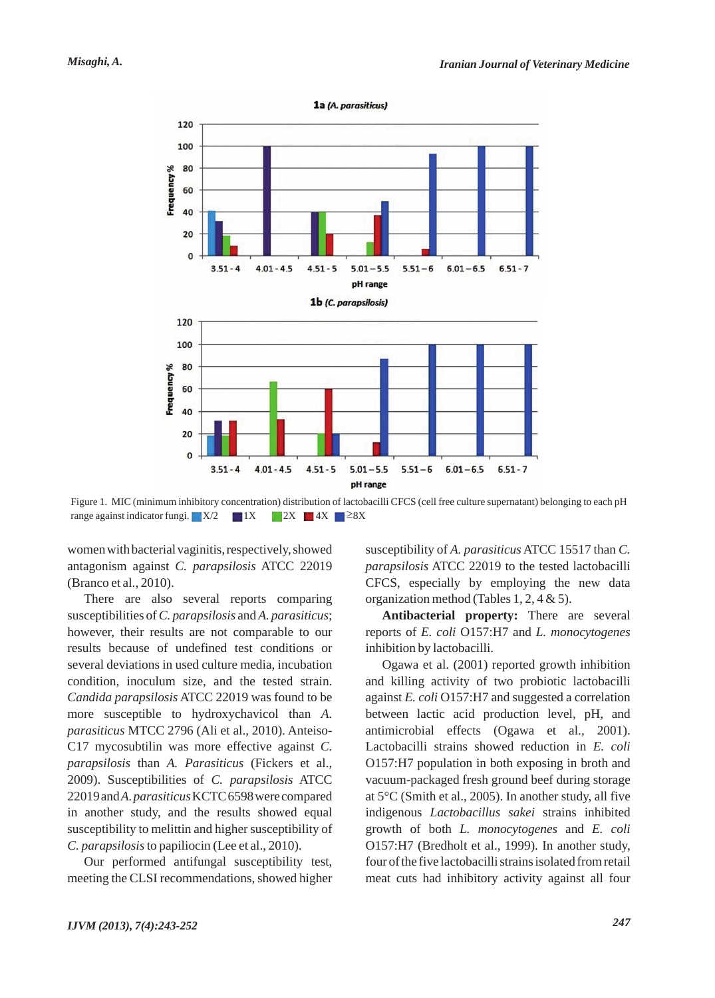

Figure 1. MIC (minimum inhibitory concentration) distribution of lactobacilli CFCS (cell free culture supernatant) belonging to each pH range against indicator fungi.  $X/2$  1X  $2X$  4X  $8 \ge 8X$ 

women with bacterial vaginitis, respectively, showed antagonism against *C. parapsilosis* ATCC 22019 (Branco et al., 2010).

There are also several reports comparing susceptibilities of *C. parapsilosis* and *A. parasiticus*; however, their results are not comparable to our results because of undefined test conditions or several deviations in used culture media, incubation condition, inoculum size, and the tested strain. *Candida parapsilosis* ATCC 22019 was found to be more susceptible to hydroxychavicol than *A. parasiticus* MTCC 2796 (Ali et al., 2010). Anteiso-C17 mycosubtilin was more effective against *C. parapsilosis* than *A. Parasiticus* (Fickers et al., 2009). Susceptibilities of *C. parapsilosis* ATCC 22019 and *A. parasiticus*KCTC 6598 were compared in another study, and the results showed equal susceptibility to melittin and higher susceptibility of *C. parapsilosis*to papiliocin (Lee et al., 2010).

Our performed antifungal susceptibility test, meeting the CLSI recommendations, showed higher susceptibility of *A. parasiticus* ATCC 15517 than *C. parapsilosis* ATCC 22019 to the tested lactobacilli CFCS, especially by employing the new data organization method (Tables 1, 2, 4 & 5).

**Antibacterial property:** There are several reports of *E. coli* O157:H7 and *L. monocytogenes* inhibition by lactobacilli.

Ogawa et al. (2001) reported growth inhibition and killing activity of two probiotic lactobacilli against *E. coli* O157:H7 and suggested a correlation between lactic acid production level, pH, and antimicrobial effects (Ogawa et al., 2001). Lactobacilli strains showed reduction in *E. coli* O157:H7 population in both exposing in broth and vacuum-packaged fresh ground beef during storage at 5°C (Smith et al., 2005). In another study, all five indigenous *Lactobacillus sakei* strains inhibited growth of both *L. monocytogenes* and *E. coli* O157:H7 (Bredholt et al., 1999). In another study, four of the five lactobacilli strains isolated from retail meat cuts had inhibitory activity against all four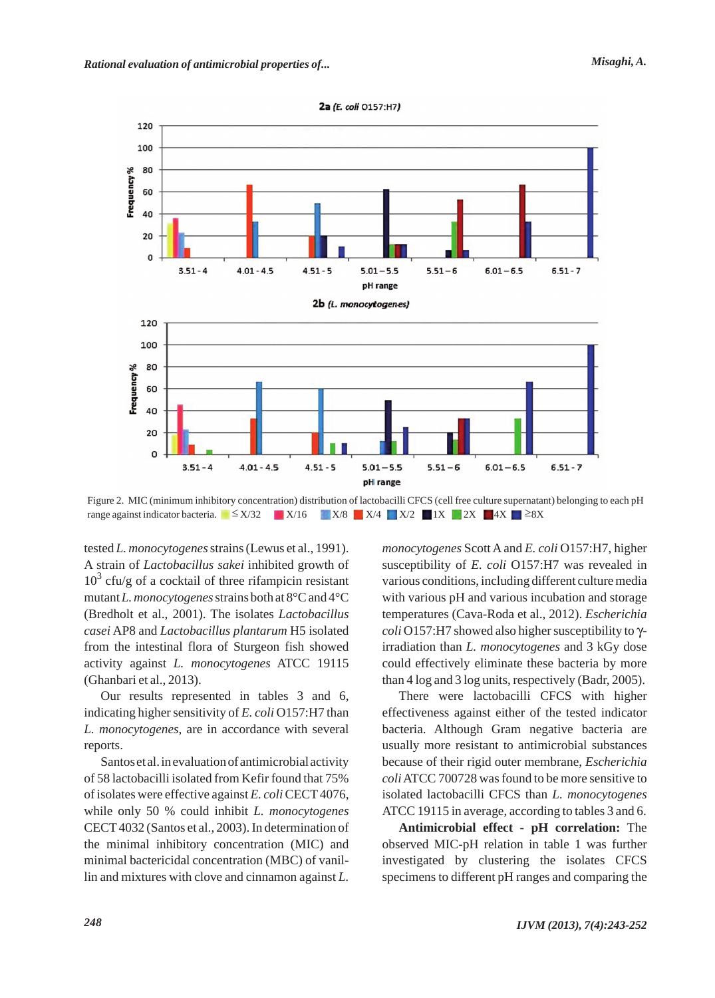

Figure 2. MIC (minimum inhibitory concentration) distribution of lactobacilli CFCS (cell free culture supernatant) belonging to each pH range against indicator bacteria. | £ X/32 X/16 X/8 X/4 X/2 1X 2X 4X "8X

tested *L. monocytogenes*strains (Lewus et al., 1991). A strain of *Lactobacillus sakei* inhibited growth of  $10<sup>3</sup>$  cfu/g of a cocktail of three rifampicin resistant mutant *L. monocytogenes*strains both at 8°C and 4°C (Bredholt et al., 2001). The isolates *Lactobacillus casei* AP8 and *Lactobacillus plantarum* H5 isolated from the intestinal flora of Sturgeon fish showed activity against *L. monocytogenes* ATCC 19115 (Ghanbari et al., 2013).

Our results represented in tables 3 and 6, indicating higher sensitivity of *E. coli* O157:H7 than *L. monocytogenes*, are in accordance with several reports.

Santos et al. in evaluation of antimicrobial activity of 58 lactobacilli isolated from Kefir found that 75% of isolates were effective against *E. coli* CECT 4076, while only 50 % could inhibit *L. monocytogenes* CECT 4032 (Santos et al., 2003). In determination of the minimal inhibitory concentration (MIC) and minimal bactericidal concentration (MBC) of vanillin and mixtures with clove and cinnamon against *L.*

*monocytogenes* Scott A and *E. coli* O157:H7, higher susceptibility of *E. coli* O157:H7 was revealed in various conditions, including different culture media with various pH and various incubation and storage temperatures (Cava-Roda et al., 2012). *Escherichia coli* O157:H7 showed also higher susceptibility to γirradiation than *L. monocytogenes* and 3 kGy dose could effectively eliminate these bacteria by more than 4 log and 3 log units, respectively (Badr, 2005).

There were lactobacilli CFCS with higher effectiveness against either of the tested indicator bacteria. Although Gram negative bacteria are usually more resistant to antimicrobial substances because of their rigid outer membrane, *Escherichia coli*ATCC 700728 was found to be more sensitive to isolated lactobacilli CFCS than *L. monocytogenes* ATCC 19115 in average, according to tables 3 and 6.

**Antimicrobial effect - pH correlation:** The observed MIC-pH relation in table 1 was further investigated by clustering the isolates CFCS specimens to different pH ranges and comparing the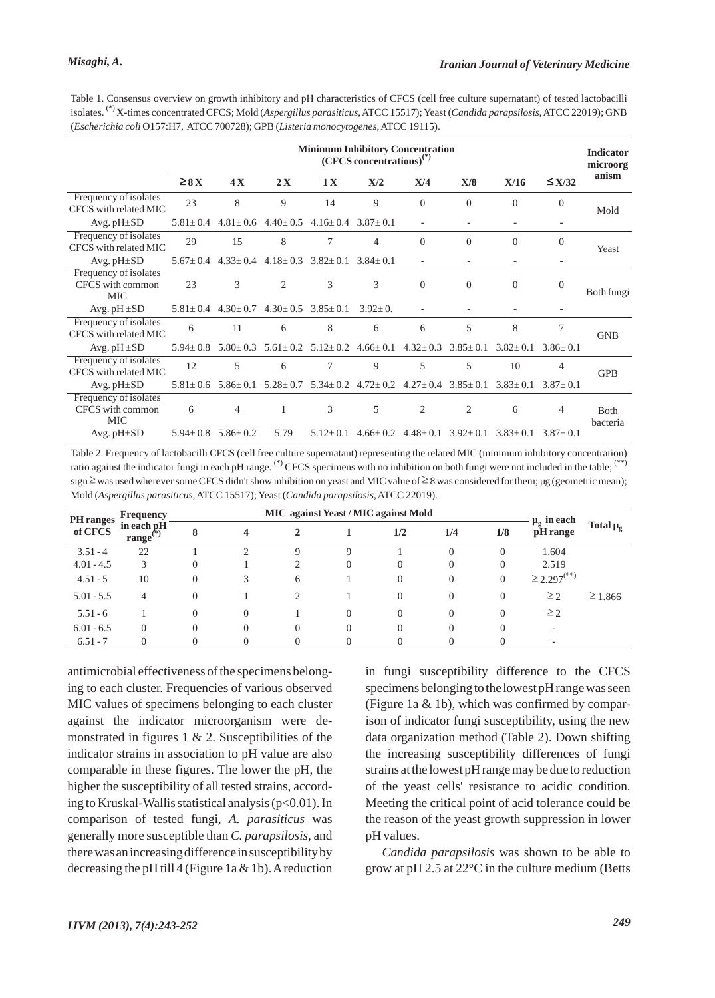Frequency of isolates CFCS with common  $MIC$  Avg. pH $\pm SD$ 

| (Escherichia coli O157:H7, ATCC 700728); GPB (Listeria monocytogenes, ATCC 19115). |                                                                                   |                |                                              |                               |                |                               |                |                |                |            |  |  |
|------------------------------------------------------------------------------------|-----------------------------------------------------------------------------------|----------------|----------------------------------------------|-------------------------------|----------------|-------------------------------|----------------|----------------|----------------|------------|--|--|
|                                                                                    | <b>Minimum Inhibitory Concentration</b><br>$(CFCS$ concentrations) <sup>(*)</sup> |                |                                              |                               |                |                               |                |                |                |            |  |  |
|                                                                                    | $\geq 8 X$                                                                        | 4X             | 2X                                           | 1X                            | X/2            | X/4                           | X/8            | X/16           | $\leq$ X/32    | anism      |  |  |
| Frequency of isolates<br>CFCS with related MIC                                     | 23                                                                                | 8              | 9                                            | 14                            | 9              | $\theta$                      | $\Omega$       | $\Omega$       | $\Omega$       | Mold       |  |  |
| Avg. pH±SD                                                                         | $5.81 + 0.4$                                                                      |                | $4.81 \pm 0.6$ $4.40 \pm 0.5$                | $4.16+0.4$ $3.87+0.1$         |                |                               |                |                |                |            |  |  |
| Frequency of isolates<br>CFCS with related MIC                                     | 29                                                                                | 15             | 8                                            | $\overline{7}$                | 4              | $\theta$                      | $\overline{0}$ | $\overline{0}$ | $\overline{0}$ | Yeast      |  |  |
| Avg. $pH \pm SD$                                                                   | $5.67 + 0.4$                                                                      |                | $4.33 \pm 0.4$ $4.18 \pm 0.3$ $3.82 \pm 0.1$ |                               | $3.84 + 0.1$   |                               |                |                |                |            |  |  |
| Frequency of isolates<br>CFCS with common<br><b>MIC</b>                            | 23                                                                                | 3              | $\overline{2}$                               | 3                             | 3              | $\Omega$                      | $\overline{0}$ | $\Omega$       | $\overline{0}$ | Both fungi |  |  |
| Avg. $pH \pm SD$                                                                   | $5.81 + 0.4$                                                                      | $4.30 \pm 0.7$ | $4.30 \pm 0.5$ $3.85 \pm 0.1$                |                               | $3.92+0.$      |                               |                |                |                |            |  |  |
| Frequency of isolates<br>CFCS with related MIC                                     | 6                                                                                 | 11             | 6                                            | 8                             | 6              | 6                             | 5              | 8              | 7              | <b>GNB</b> |  |  |
| Avg. $pH \pm SD$                                                                   | $5.94 + 0.8$                                                                      | $5.80 \pm 0.3$ |                                              | $5.61 \pm 0.2$ $5.12 \pm 0.2$ | $4.66 \pm 0.1$ | $4.32 \pm 0.3$                | $3.85 \pm 0.1$ | $3.82 \pm 0.1$ | $3.86 + 0.1$   |            |  |  |
| Frequency of isolates<br>CFCS with related MIC                                     | 12                                                                                | 5              | 6                                            | 7                             | 9              | 5                             | 5              | 10             | $\overline{4}$ | <b>GPB</b> |  |  |
| Avg. pH±SD                                                                         | $5.81 \pm 0.6$                                                                    | $5.86 \pm 0.1$ |                                              | $5.28 \pm 0.7$ $5.34 \pm 0.2$ |                | $4.72 \pm 0.2$ $4.27 \pm 0.4$ | $3.85 \pm 0.1$ | $3.83 \pm 0.1$ | $3.87 \pm 0.1$ |            |  |  |

Table 1. Consensus overview on growth inhibitory and pH characteristics of CFCS (cell free culture supernatant) of tested lactobacilli isolates. (\*) X-times concentrated CFCS; Mold (*Aspergillus parasiticus*, ATCC 15517); Yeast (*Candida parapsilosis*, ATCC 22019); GNB

6 4 1 3 5 2 2 6 4 Both

 $5.94 \pm 0.8$   $5.86 \pm 0.2$   $5.79$   $5.12 \pm 0.1$   $4.66 \pm 0.2$   $4.48 \pm 0.1$   $3.92 \pm 0.1$   $3.83 \pm 0.1$   $3.87 \pm 0.1$ 

| PH ranges    | <b>Frequency</b>              |          | <b>MIC</b> against Yeast / MIC against Mold | $\mu_{\rm g}$ in each |          |                |                  |                |                              |                 |
|--------------|-------------------------------|----------|---------------------------------------------|-----------------------|----------|----------------|------------------|----------------|------------------------------|-----------------|
| of CFCS      | in each pH<br>range $\mathbf$ | 8        | 4                                           | $\overline{2}$        |          | 1/2            | 1/4              | 1/8            | pH range                     | Total $\mu_{g}$ |
| $3.51 - 4$   | 22                            |          | ◠                                           | Q                     |          |                |                  |                | 1.604                        |                 |
| $4.01 - 4.5$ | 3                             |          |                                             | $\bigcirc$            | $\theta$ | $\Omega$       | $\Omega$         | $\Omega$       | 2.519                        |                 |
| $4.51 - 5$   | 10                            | $\Omega$ | 3                                           | 6                     |          | $\overline{0}$ | $\Omega$         | $\overline{0}$ | $\geq$ 2.297 <sup>(**)</sup> |                 |
| $5.01 - 5.5$ | 4                             | 0        |                                             | $\mathfrak{D}$        |          | $\Omega$       | $\Omega$         | $\Omega$       | $\geq$ 2                     | $\geq$ 1.866    |
| $5.51 - 6$   |                               | 0        | $\Omega$                                    |                       | $\theta$ | $\theta$       | $\Omega$         | $\Omega$       | $\geq$ 2                     |                 |
| $6.01 - 6.5$ | $\Omega$                      |          | $\Omega$                                    | $\overline{0}$        | $\Omega$ | $\theta$       | $\left( \right)$ |                | $\overline{\phantom{a}}$     |                 |
| $6.51 - 7$   | $\Omega$                      |          |                                             | $\overline{0}$        |          | $\theta$       |                  |                | ۰                            |                 |

antimicrobial effectiveness of the specimens belonging to each cluster. Frequencies of various observed MIC values of specimens belonging to each cluster against the indicator microorganism were demonstrated in figures  $1 \& 2$ . Susceptibilities of the indicator strains in association to pH value are also comparable in these figures. The lower the pH, the higher the susceptibility of all tested strains, according to Kruskal-Wallis statistical analysis  $(p<0.01)$ . In comparison of tested fungi, *A. parasiticus* was generally more susceptible than *C. parapsilosis*, and there was an increasing difference in susceptibility by decreasing the pH till  $4$  (Figure 1a & 1b). A reduction in fungi susceptibility difference to the CFCS specimens belonging to the lowest pH range was seen (Figure 1a & 1b), which was confirmed by comparison of indicator fungi susceptibility, using the new data organization method (Table 2). Down shifting the increasing susceptibility differences of fungi strains at the lowest pH range may be due to reduction of the yeast cells' resistance to acidic condition. Meeting the critical point of acid tolerance could be the reason of the yeast growth suppression in lower pH values.

*Candida parapsilosis* was shown to be able to grow at pH 2.5 at 22°C in the culture medium (Betts

bacteria

Table 2. Frequency of lactobacilli CFCS (cell free culture supernatant) representing the related MIC (minimum inhibitory concentration) ratio against the indicator fungi in each pH range. (\*) CFCS specimens with no inhibition on both fungi were not included in the table; (\*\*)  $sign \ge$  was used wherever some CFCS didn't show inhibition on yeast and MIC value of  $\geq$  8 was considered for them; µg (geometric mean); Mold (*Aspergillus parasiticus*, ATCC 15517); Yeast (*Candida parapsilosis*, ATCC 22019).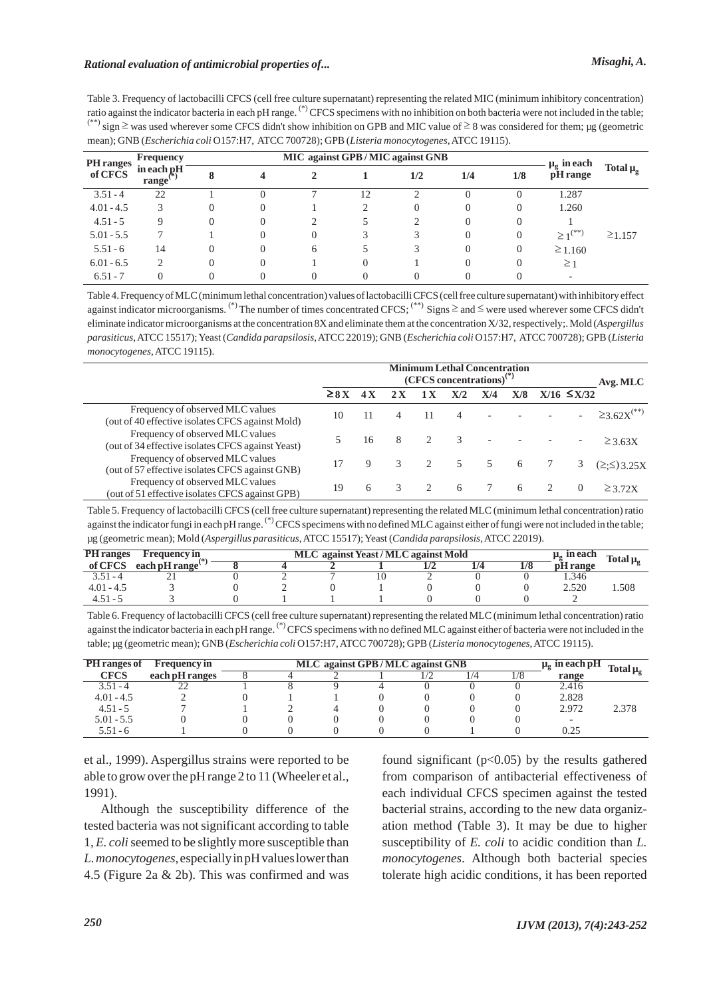Table 3. Frequency of lactobacilli CFCS (cell free culture supernatant) representing the related MIC (minimum inhibitory concentration) ratio against the indicator bacteria in each pH range. (\*) CFCS specimens with no inhibition on both bacteria were not included in the table;  $^{(**)}$  sign  $\geq$  was used wherever some CFCS didn't show inhibition on GPB and MIC value of  $\geq$  8 was considered for them; µg (geometric mean); GNB (*Escherichia coli* O157:H7, ATCC 700728); GPB (*Listeria monocytogenes*, ATCC 19115).

| <b>PH</b> ranges<br>of CFCS | <b>Frequency</b>    |          | MIC against GPB/MIC against GNB | $\mu_{\sigma}$ in each |    |     |              |                |                          |                     |
|-----------------------------|---------------------|----------|---------------------------------|------------------------|----|-----|--------------|----------------|--------------------------|---------------------|
|                             | in each pH<br>range | 8        |                                 | 2                      |    | 1/2 | 1/4          | 1/8            | pH range                 | Total $\mu_{\rm g}$ |
| $3.51 - 4$                  | 22                  |          |                                 | Ξ                      | 12 | ◠   |              | $\Omega$       | 1.287                    |                     |
| $4.01 - 4.5$                | 3                   |          |                                 |                        |    | 0   |              | $\theta$       | 1.260                    |                     |
| $4.51 - 5$                  | $\Omega$            |          |                                 |                        |    | ↑   |              | $\overline{0}$ |                          |                     |
| $5.01 - 5.5$                |                     |          |                                 | $\Omega$               |    |     |              | $\overline{0}$ | $\geq 1^{(**)}$          | $\geq$ 1.157        |
| $5.51 - 6$                  | 14                  | $\Omega$ | $\theta$                        | 6                      |    | 3   | $\mathbf{0}$ | $\overline{0}$ | $\geq 1.160$             |                     |
| $6.01 - 6.5$                | $\overline{c}$      |          | $\cup$                          |                        |    |     | 0            | $\theta$       | $\geq$ 1                 |                     |
| $6.51 - 7$                  | $\Omega$            |          |                                 | $\theta$               |    |     |              |                | $\overline{\phantom{a}}$ |                     |

Table 4. Frequency of MLC (minimum lethal concentration) values of lactobacilli CFCS (cell free culture supernatant) with inhibitory effect against indicator microorganisms. (\*) The number of times concentrated CFCS;  $($ \*\*) Signs  $\geq$  and  $\leq$  were used wherever some CFCS didn't eliminate indicator microorganisms at the concentration 8X and eliminate them at the concentration X/32, respectively;. Mold (*Aspergillus parasiticus*, ATCC 15517); Yeast (*Candida parapsilosis*, ATCC 22019); GNB (*Escherichia coli* O157:H7, ATCC 700728); GPB (*Listeria monocytogenes*, ATCC 19115).

|                                                                                       | <b>Minimum Lethal Concentration</b><br>$(CFCS$ concentrations) <sup>(*)</sup> |    |   |   |     |        |     |  |                  |                           |
|---------------------------------------------------------------------------------------|-------------------------------------------------------------------------------|----|---|---|-----|--------|-----|--|------------------|---------------------------|
|                                                                                       | $\geq 8 X$                                                                    | 4X |   |   | X/2 | X/4    | X/8 |  | $X/16 \leq X/32$ |                           |
| Frequency of observed MLC values<br>(out of 40 effective isolates CFCS against Mold)  | 10                                                                            |    |   |   |     |        |     |  |                  | $≥$ 3 62X <sup>(**)</sup> |
| Frequency of observed MLC values<br>(out of 34 effective isolates CFCS against Yeast) |                                                                               | 16 | 8 |   | -3  | $\sim$ |     |  |                  | $\geq$ 3.63X              |
| Frequency of observed MLC values<br>(out of 57 effective isolates CFCS against GNB)   |                                                                               |    | 3 | 2 | 5   | 5      | - 6 |  |                  | $(\geq \leq)$ 3.25X       |
| Frequency of observed MLC values<br>(out of 51 effective isolates CFCS against GPB)   | 19                                                                            | 6  | 3 |   | 6   |        | 6   |  |                  | $>$ 3.72 $X$              |

Table 5. Frequency of lactobacilli CFCS (cell free culture supernatant) representing the related MLC (minimum lethal concentration) ratio against the indicator fungi in each pH range. <sup>(\*)</sup> CFCS specimens with no defined MLC against either of fungi were not included in the table; µg (geometric mean); Mold (*Aspergillus parasiticus*, ATCC 15517); Yeast (*Candida parapsilosis*, ATCC 22019).

| <b>PH</b> ranges | <b>Frequency in</b>           |  | $\mu_{\alpha}$ in each | Total $\mu_{\rm g}$ |     |     |                 |      |
|------------------|-------------------------------|--|------------------------|---------------------|-----|-----|-----------------|------|
| of CFCS          | each pH range $^{\backprime}$ |  |                        |                     | 1/4 | 1/8 | <b>pH</b> range |      |
| $3.51 - 4$       |                               |  |                        |                     |     |     | . .346          |      |
| $4.01 - 4.5$     |                               |  |                        |                     |     |     | 2.520           | .508 |
| $4.51 - 5$       |                               |  |                        |                     |     |     |                 |      |

Table 6. Frequency of lactobacilli CFCS (cell free culture supernatant) representing the related MLC (minimum lethal concentration) ratio against the indicator bacteria in each pH range. <sup>(\*)</sup>CFCS specimens with no defined MLC against either of bacteria were not included in the table; µg (geometric mean); GNB (*Escherichia coli* O157:H7, ATCC 700728); GPB (*Listeria monocytogenes*, ATCC 19115).

| PH ranges of | <b>Frequency in</b> | MLC against GPB/MLC against GNB | $\mu_{\rm g}$ in each pH Total $\mu_{\rm g}$ |  |       |       |
|--------------|---------------------|---------------------------------|----------------------------------------------|--|-------|-------|
| <b>CFCS</b>  | each pH ranges      |                                 |                                              |  | range |       |
| $3.51 - 4$   |                     |                                 |                                              |  | 2.416 |       |
| $4.01 - 4.5$ |                     |                                 |                                              |  | 2.828 |       |
| $4.51 - 5$   |                     |                                 |                                              |  | 2.972 | 2.378 |
| $5.01 - 5.5$ |                     |                                 |                                              |  |       |       |
| $5.51 - 6$   |                     |                                 |                                              |  | 0.25  |       |

et al., 1999). Aspergillus strains were reported to be able to grow over the pH range 2 to 11 (Wheeler et al., 1991).

Although the susceptibility difference of the tested bacteria was not significant according to table 1, *E. coli*seemed to be slightly more susceptible than *L. monocytogenes*, especially in pH values lower than 4.5 (Figure 2a & 2b). This was confirmed and was

found significant  $(p<0.05)$  by the results gathered from comparison of antibacterial effectiveness of each individual CFCS specimen against the tested bacterial strains, according to the new data organization method (Table 3). It may be due to higher susceptibility of *E. coli* to acidic condition than *L. monocytogenes*. Although both bacterial species tolerate high acidic conditions, it has been reported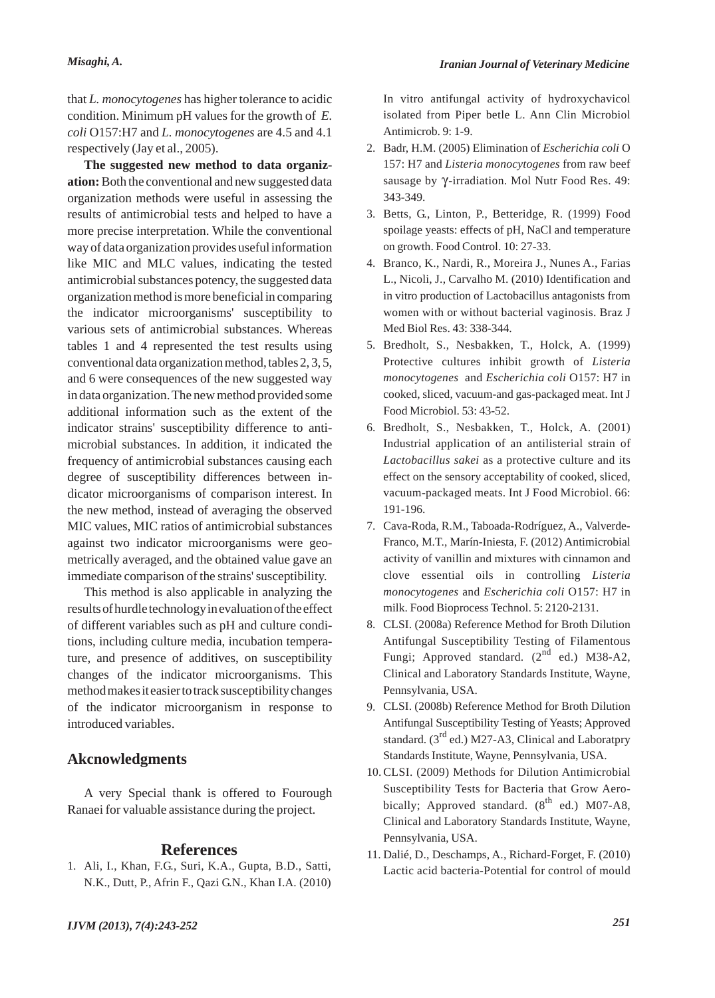that *L. monocytogenes* has higher tolerance to acidic condition. Minimum pH values for the growth of *E. coli* O157:H7 and *L. monocytogenes* are 4.5 and 4.1 respectively (Jay et al., 2005).

**The suggested new method to data organization:** Both the conventional and new suggested data organization methods were useful in assessing the results of antimicrobial tests and helped to have a more precise interpretation. While the conventional way of data organization provides useful information like MIC and MLC values, indicating the tested antimicrobial substances potency, the suggested data organization method is more beneficial in comparing the indicator microorganisms' susceptibility to various sets of antimicrobial substances. Whereas tables 1 and 4 represented the test results using conventional data organization method, tables 2, 3, 5, and 6 were consequences of the new suggested way in data organization. The new method provided some additional information such as the extent of the indicator strains' susceptibility difference to antimicrobial substances. In addition, it indicated the frequency of antimicrobial substances causing each degree of susceptibility differences between indicator microorganisms of comparison interest. In the new method, instead of averaging the observed MIC values, MIC ratios of antimicrobial substances against two indicator microorganisms were geometrically averaged, and the obtained value gave an immediate comparison of the strains' susceptibility.

This method is also applicable in analyzing the results of hurdle technology in evaluation of the effect of different variables such as pH and culture conditions, including culture media, incubation temperature, and presence of additives, on susceptibility changes of the indicator microorganisms. This method makes it easier to track susceptibility changes of the indicator microorganism in response to introduced variables.

## **Akcnowledgments**

A very Special thank is offered to Fourough Ranaei for valuable assistance during the project.

## **References**

Ali, I., Khan, F.G., Suri, K.A., Gupta, B.D., Satti, 1. N.K., Dutt, P., Afrin F., Qazi G.N., Khan I.A. (2010) In vitro antifungal activity of hydroxychavicol isolated from Piper betle L. Ann Clin Microbiol Antimicrob. 9: 1-9.

- Badr, H.M. (2005) Elimination of *Escherichia coli* O 2. 157: H7 and *Listeria monocytogenes* from raw beef sausage by  $γ$ -irradiation. Mol Nutr Food Res. 49: 343-349.
- Betts, G., Linton, P., Betteridge, R. (1999) Food 3. spoilage yeasts: effects of pH, NaCl and temperature on growth. Food Control. 10: 27-33.
- 4. Branco, K., Nardi, R., Moreira J., Nunes A., Farias L., Nicoli, J., Carvalho M. (2010) Identification and in vitro production of Lactobacillus antagonists from women with or without bacterial vaginosis. Braz J Med Biol Res. 43: 338-344.
- Bredholt, S., Nesbakken, T., Holck, A. (1999) 5. Protective cultures inhibit growth of *Listeria monocytogenes* and *Escherichia coli* O157: H7 in cooked, sliced, vacuum-and gas-packaged meat. Int J Food Microbiol. 53: 43-52.
- Bredholt, S., Nesbakken, T., Holck, A. (2001) 6. Industrial application of an antilisterial strain of *Lactobacillus sakei* as a protective culture and its effect on the sensory acceptability of cooked, sliced, vacuum-packaged meats. Int J Food Microbiol. 66: 191-196.
- Cava-Roda, R.M., Taboada-Rodríguez, A., Valverde-7. Franco, M.T., Marín-Iniesta, F. (2012) Antimicrobial activity of vanillin and mixtures with cinnamon and clove essential oils in controlling *Listeria monocytogenes* and *Escherichia coli* O157: H7 in milk. Food Bioprocess Technol. 5: 2120-2131.
- CLSI. (2008a) Reference Method for Broth Dilution 8. Antifungal Susceptibility Testing of Filamentous Fungi; Approved standard.  $(2^{nd}$  ed.) M38-A2, Clinical and Laboratory Standards Institute, Wayne, Pennsylvania, USA.
- CLSI. (2008b) Reference Method for Broth Dilution 9. Antifungal Susceptibility Testing of Yeasts; Approved standard.  $(3<sup>rd</sup>$  ed.) M27-A3, Clinical and Laboratpry Standards Institute, Wayne, Pennsylvania, USA.
- 10. CLSI. (2009) Methods for Dilution Antimicrobial Susceptibility Tests for Bacteria that Grow Aerobically; Approved standard.  $(8^{th}$  ed.) M07-A8, Clinical and Laboratory Standards Institute, Wayne, Pennsylvania, USA.
- 11. Dalié, D., Deschamps, A., Richard-Forget, F. (2010) Lactic acid bacteria-Potential for control of mould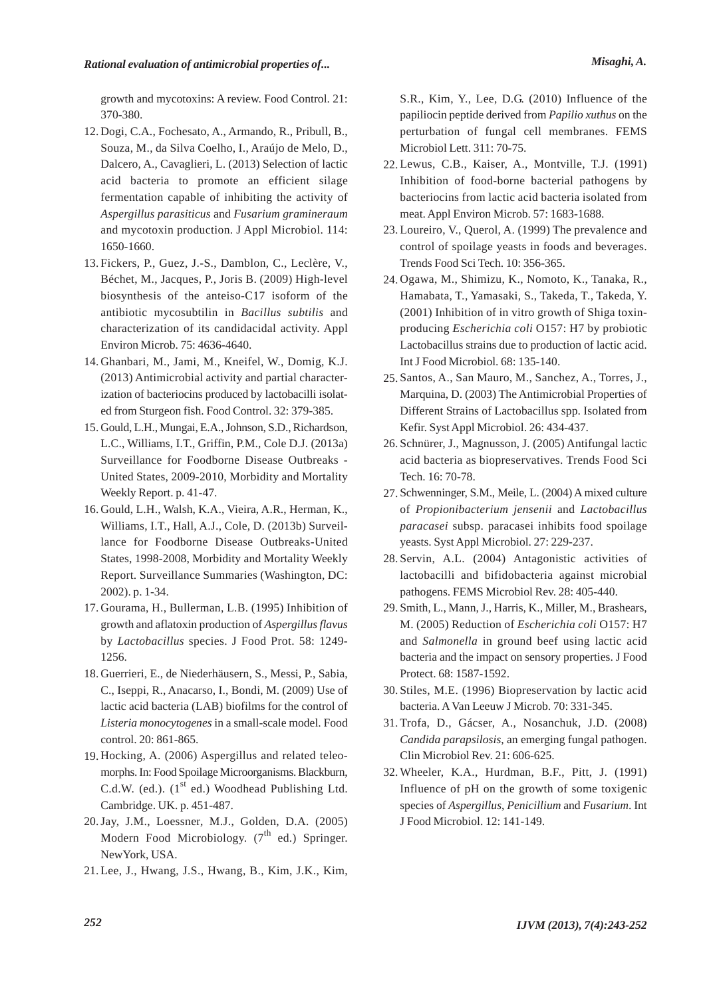growth and mycotoxins: A review. Food Control. 21: 370-380.

- 12. Dogi, C.A., Fochesato, A., Armando, R., Pribull, B., Souza, M., da Silva Coelho, I., Araújo de Melo, D., Dalcero, A., Cavaglieri, L. (2013) Selection of lactic acid bacteria to promote an efficient silage fermentation capable of inhibiting the activity of *Aspergillus parasiticus* and *Fusarium gramineraum* and mycotoxin production. J Appl Microbiol. 114: 1650-1660.
- Fickers, P., Guez, J.-S., Damblon, C., Leclère, V., 13. Béchet, M., Jacques, P., Joris B. (2009) High-level biosynthesis of the anteiso-C17 isoform of the antibiotic mycosubtilin in *Bacillus subtilis* and characterization of its candidacidal activity. Appl Environ Microb. 75: 4636-4640.
- Ghanbari, M., Jami, M., Kneifel, W., Domig, K.J. 14. (2013) Antimicrobial activity and partial characterization of bacteriocins produced by lactobacilli isolated from Sturgeon fish. Food Control. 32: 379-385.
- 15. Gould, L.H., Mungai, E.A., Johnson, S.D., Richardson, L.C., Williams, I.T., Griffin, P.M., Cole D.J. (2013a) Surveillance for Foodborne Disease Outbreaks - United States, 2009-2010, Morbidity and Mortality Weekly Report. p. 41-47.
- 16. Gould, L.H., Walsh, K.A., Vieira, A.R., Herman, K., Williams, I.T., Hall, A.J., Cole, D. (2013b) Surveillance for Foodborne Disease Outbreaks-United States, 1998-2008, Morbidity and Mortality Weekly Report. Surveillance Summaries (Washington, DC: 2002). p. 1-34.
- 17. Gourama, H., Bullerman, L.B. (1995) Inhibition of growth and aflatoxin production of *Aspergillus flavus* by *Lactobacillus* species. J Food Prot. 58: 1249- 1256.
- Guerrieri, E., de Niederhäusern, S., Messi, P., Sabia, 18. C., Iseppi, R., Anacarso, I., Bondi, M. (2009) Use of lactic acid bacteria (LAB) biofilms for the control of *Listeria monocytogenes* in a small-scale model. Food control. 20: 861-865.
- 19. Hocking, A. (2006) Aspergillus and related teleomorphs. In: Food Spoilage Microorganisms. Blackburn, C.d.W. (ed.).  $(1<sup>st</sup>$  ed.) Woodhead Publishing Ltd. Cambridge. UK. p. 451-487.
- 20. Jay, J.M., Loessner, M.J., Golden, D.A. (2005) Modern Food Microbiology.  $(7^{th}$  ed.) Springer. NewYork, USA.
- Lee, J., Hwang, J.S., Hwang, B., Kim, J.K., Kim, 21.

S.R., Kim, Y., Lee, D.G. (2010) Influence of the papiliocin peptide derived from *Papilio xuthus* on the perturbation of fungal cell membranes. FEMS Microbiol Lett. 311: 70-75.

- Lewus, C.B., Kaiser, A., Montville, T.J. (1991) 22. Inhibition of food-borne bacterial pathogens by bacteriocins from lactic acid bacteria isolated from meat. Appl Environ Microb. 57: 1683-1688.
- 23. Loureiro, V., Querol, A. (1999) The prevalence and control of spoilage yeasts in foods and beverages. Trends Food Sci Tech. 10: 356-365.
- 24. Ogawa, M., Shimizu, K., Nomoto, K., Tanaka, R., Hamabata, T., Yamasaki, S., Takeda, T., Takeda, Y. (2001) Inhibition of in vitro growth of Shiga toxinproducing *Escherichia coli* O157: H7 by probiotic Lactobacillus strains due to production of lactic acid. Int J Food Microbiol. 68: 135-140.
- 25. Santos, A., San Mauro, M., Sanchez, A., Torres, J., Marquina, D. (2003) The Antimicrobial Properties of Different Strains of Lactobacillus spp. Isolated from Kefir. Syst Appl Microbiol. 26: 434-437.
- 26. Schnürer, J., Magnusson, J. (2005) Antifungal lactic acid bacteria as biopreservatives. Trends Food Sci Tech. 16: 70-78.
- 27. Schwenninger, S.M., Meile, L. (2004) A mixed culture of *Propionibacterium jensenii* and *Lactobacillus paracasei* subsp. paracasei inhibits food spoilage yeasts. Syst Appl Microbiol. 27: 229-237.
- 28. Servin, A.L. (2004) Antagonistic activities of lactobacilli and bifidobacteria against microbial pathogens. FEMS Microbiol Rev. 28: 405-440.
- 29. Smith, L., Mann, J., Harris, K., Miller, M., Brashears, M. (2005) Reduction of *Escherichia coli* O157: H7 and *Salmonella* in ground beef using lactic acid bacteria and the impact on sensory properties. J Food Protect. 68: 1587-1592.
- Stiles, M.E. (1996) Biopreservation by lactic acid 30. bacteria. A Van Leeuw J Microb. 70: 331-345.
- 31. Trofa, D., Gácser, A., Nosanchuk, J.D. (2008) *Candida parapsilosis*, an emerging fungal pathogen. Clin Microbiol Rev. 21: 606-625.
- Wheeler, K.A., Hurdman, B.F., Pitt, J. (1991) 32.Influence of pH on the growth of some toxigenic species of *Aspergillus*, *Penicillium* and *Fusarium*. Int J Food Microbiol. 12: 141-149.